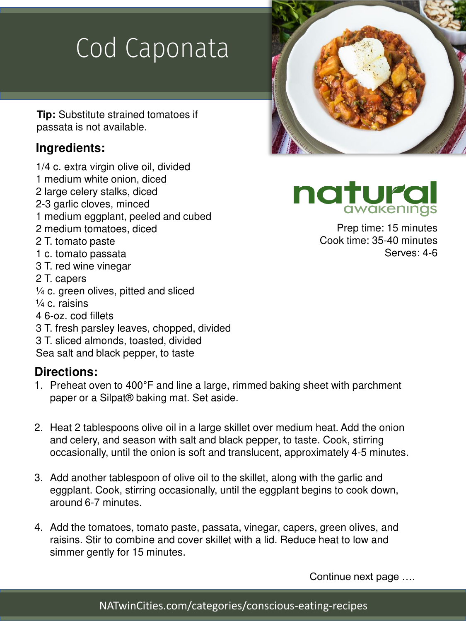## Cod Caponata

**Tip:** Substitute strained tomatoes if passata is not available.

#### **Ingredients:**

- 1/4 c. extra virgin olive oil, divided
- 1 medium white onion, diced
- 2 large celery stalks, diced
- 2-3 garlic cloves, minced
- 1 medium eggplant, peeled and cubed
- 2 medium tomatoes, diced
- 2 T. tomato paste
- 1 c. tomato passata
- 3 T. red wine vinegar
- 2 T. capers
- $\frac{1}{4}$  c. green olives, pitted and sliced
- $\frac{1}{4}$  c. raisins
- 4 6-oz. cod fillets
- 3 T. fresh parsley leaves, chopped, divided
- 3 T. sliced almonds, toasted, divided
- Sea salt and black pepper, to taste

#### **Directions:**

- 1. Preheat oven to 400°F and line a large, rimmed baking sheet with parchment paper or a Silpat® baking mat. Set aside.
- 2. Heat 2 tablespoons olive oil in a large skillet over medium heat. Add the onion and celery, and season with salt and black pepper, to taste. Cook, stirring occasionally, until the onion is soft and translucent, approximately 4-5 minutes.
- 3. Add another tablespoon of olive oil to the skillet, along with the garlic and eggplant. Cook, stirring occasionally, until the eggplant begins to cook down, around 6-7 minutes.
- 4. Add the tomatoes, tomato paste, passata, vinegar, capers, green olives, and raisins. Stir to combine and cover skillet with a lid. Reduce heat to low and simmer gently for 15 minutes.

Continue next page ….



natura awakenings

> Prep time: 15 minutes Cook time: 35-40 minutes Serves: 4-6